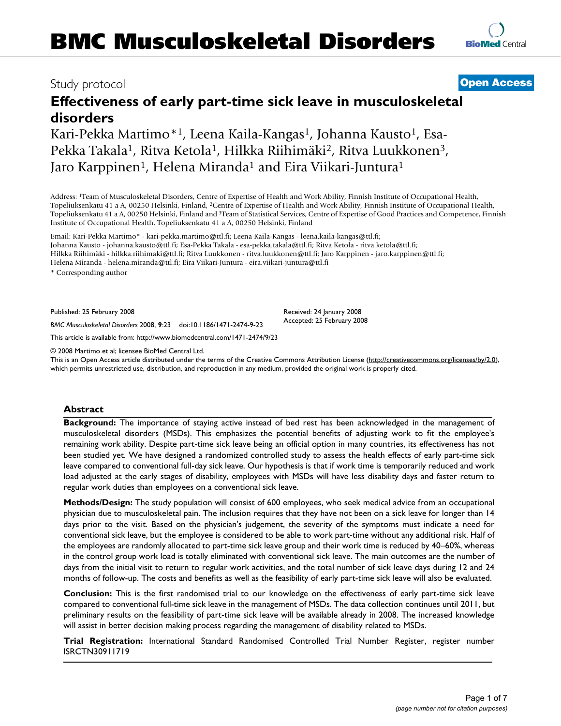# Study protocol **[Open Access](http://www.biomedcentral.com/info/about/charter/)**

# **Effectiveness of early part-time sick leave in musculoskeletal disorders**

Kari-Pekka Martimo\*<sup>1</sup>, Leena Kaila-Kangas<sup>1</sup>, Johanna Kausto<sup>1</sup>, Esa-Pekka Takala<sup>1</sup>, Ritva Ketola<sup>1</sup>, Hilkka Riihimäki<sup>2</sup>, Ritva Luukkonen<sup>3</sup>, Jaro Karppinen<sup>1</sup>, Helena Miranda<sup>1</sup> and Eira Viikari-Juntura<sup>1</sup>

Address: 1Team of Musculoskeletal Disorders, Centre of Expertise of Health and Work Ability, Finnish Institute of Occupational Health, Topeliuksenkatu 41 a A, 00250 Helsinki, Finland, 2Centre of Expertise of Health and Work Ability, Finnish Institute of Occupational Health, Topeliuksenkatu 41 a A, 00250 Helsinki, Finland and 3Team of Statistical Services, Centre of Expertise of Good Practices and Competence, Finnish Institute of Occupational Health, Topeliuksenkatu 41 a A, 00250 Helsinki, Finland

Email: Kari-Pekka Martimo\* - kari-pekka.martimo@ttl.fi; Leena Kaila-Kangas - leena.kaila-kangas@ttl.fi; Johanna Kausto - johanna.kausto@ttl.fi; Esa-Pekka Takala - esa-pekka.takala@ttl.fi; Ritva Ketola - ritva.ketola@ttl.fi; Hilkka Riihimäki - hilkka.riihimaki@ttl.fi; Ritva Luukkonen - ritva.luukkonen@ttl.fi; Jaro Karppinen - jaro.karppinen@ttl.fi; Helena Miranda - helena.miranda@ttl.fi; Eira Viikari-Juntura - eira.viikari-juntura@ttl.fi

\* Corresponding author

Published: 25 February 2008

*BMC Musculoskeletal Disorders* 2008, **9**:23 doi:10.1186/1471-2474-9-23

[This article is available from: http://www.biomedcentral.com/1471-2474/9/23](http://www.biomedcentral.com/1471-2474/9/23)

© 2008 Martimo et al; licensee BioMed Central Ltd.

This is an Open Access article distributed under the terms of the Creative Commons Attribution License [\(http://creativecommons.org/licenses/by/2.0\)](http://creativecommons.org/licenses/by/2.0), which permits unrestricted use, distribution, and reproduction in any medium, provided the original work is properly cited.

# **Abstract**

**Background:** The importance of staying active instead of bed rest has been acknowledged in the management of musculoskeletal disorders (MSDs). This emphasizes the potential benefits of adjusting work to fit the employee's remaining work ability. Despite part-time sick leave being an official option in many countries, its effectiveness has not been studied yet. We have designed a randomized controlled study to assess the health effects of early part-time sick leave compared to conventional full-day sick leave. Our hypothesis is that if work time is temporarily reduced and work load adjusted at the early stages of disability, employees with MSDs will have less disability days and faster return to regular work duties than employees on a conventional sick leave.

**Methods/Design:** The study population will consist of 600 employees, who seek medical advice from an occupational physician due to musculoskeletal pain. The inclusion requires that they have not been on a sick leave for longer than 14 days prior to the visit. Based on the physician's judgement, the severity of the symptoms must indicate a need for conventional sick leave, but the employee is considered to be able to work part-time without any additional risk. Half of the employees are randomly allocated to part-time sick leave group and their work time is reduced by 40–60%, whereas in the control group work load is totally eliminated with conventional sick leave. The main outcomes are the number of days from the initial visit to return to regular work activities, and the total number of sick leave days during 12 and 24 months of follow-up. The costs and benefits as well as the feasibility of early part-time sick leave will also be evaluated.

**Conclusion:** This is the first randomised trial to our knowledge on the effectiveness of early part-time sick leave compared to conventional full-time sick leave in the management of MSDs. The data collection continues until 2011, but preliminary results on the feasibility of part-time sick leave will be available already in 2008. The increased knowledge will assist in better decision making process regarding the management of disability related to MSDs.

**Trial Registration:** International Standard Randomised Controlled Trial Number Register, register number ISRCTN30911719

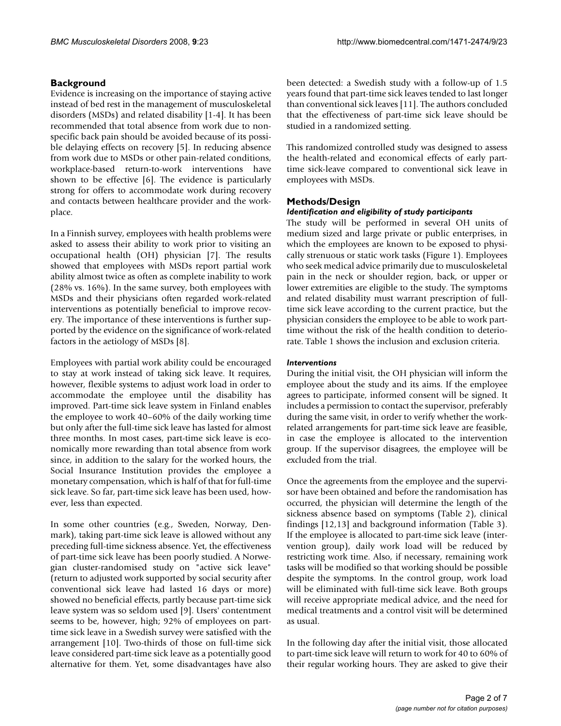# **Background**

Evidence is increasing on the importance of staying active instead of bed rest in the management of musculoskeletal disorders (MSDs) and related disability [1-4]. It has been recommended that total absence from work due to nonspecific back pain should be avoided because of its possible delaying effects on recovery [5]. In reducing absence from work due to MSDs or other pain-related conditions, workplace-based return-to-work interventions have shown to be effective [6]. The evidence is particularly strong for offers to accommodate work during recovery and contacts between healthcare provider and the workplace.

In a Finnish survey, employees with health problems were asked to assess their ability to work prior to visiting an occupational health (OH) physician [7]. The results showed that employees with MSDs report partial work ability almost twice as often as complete inability to work (28% vs. 16%). In the same survey, both employees with MSDs and their physicians often regarded work-related interventions as potentially beneficial to improve recovery. The importance of these interventions is further supported by the evidence on the significance of work-related factors in the aetiology of MSDs [8].

Employees with partial work ability could be encouraged to stay at work instead of taking sick leave. It requires, however, flexible systems to adjust work load in order to accommodate the employee until the disability has improved. Part-time sick leave system in Finland enables the employee to work 40–60% of the daily working time but only after the full-time sick leave has lasted for almost three months. In most cases, part-time sick leave is economically more rewarding than total absence from work since, in addition to the salary for the worked hours, the Social Insurance Institution provides the employee a monetary compensation, which is half of that for full-time sick leave. So far, part-time sick leave has been used, however, less than expected.

In some other countries (e.g., Sweden, Norway, Denmark), taking part-time sick leave is allowed without any preceding full-time sickness absence. Yet, the effectiveness of part-time sick leave has been poorly studied. A Norwegian cluster-randomised study on "active sick leave" (return to adjusted work supported by social security after conventional sick leave had lasted 16 days or more) showed no beneficial effects, partly because part-time sick leave system was so seldom used [9]. Users' contentment seems to be, however, high; 92% of employees on parttime sick leave in a Swedish survey were satisfied with the arrangement [10]. Two-thirds of those on full-time sick leave considered part-time sick leave as a potentially good alternative for them. Yet, some disadvantages have also

been detected: a Swedish study with a follow-up of 1.5 years found that part-time sick leaves tended to last longer than conventional sick leaves [11]. The authors concluded that the effectiveness of part-time sick leave should be studied in a randomized setting.

This randomized controlled study was designed to assess the health-related and economical effects of early parttime sick-leave compared to conventional sick leave in employees with MSDs.

# **Methods/Design**

# *Identification and eligibility of study participants*

The study will be performed in several OH units of medium sized and large private or public enterprises, in which the employees are known to be exposed to physically strenuous or static work tasks (Figure 1). Employees who seek medical advice primarily due to musculoskeletal pain in the neck or shoulder region, back, or upper or lower extremities are eligible to the study. The symptoms and related disability must warrant prescription of fulltime sick leave according to the current practice, but the physician considers the employee to be able to work parttime without the risk of the health condition to deteriorate. Table 1 shows the inclusion and exclusion criteria.

#### *Interventions*

During the initial visit, the OH physician will inform the employee about the study and its aims. If the employee agrees to participate, informed consent will be signed. It includes a permission to contact the supervisor, preferably during the same visit, in order to verify whether the workrelated arrangements for part-time sick leave are feasible, in case the employee is allocated to the intervention group. If the supervisor disagrees, the employee will be excluded from the trial.

Once the agreements from the employee and the supervisor have been obtained and before the randomisation has occurred, the physician will determine the length of the sickness absence based on symptoms (Table 2), clinical findings [12,13] and background information (Table 3). If the employee is allocated to part-time sick leave (intervention group), daily work load will be reduced by restricting work time. Also, if necessary, remaining work tasks will be modified so that working should be possible despite the symptoms. In the control group, work load will be eliminated with full-time sick leave. Both groups will receive appropriate medical advice, and the need for medical treatments and a control visit will be determined as usual.

In the following day after the initial visit, those allocated to part-time sick leave will return to work for 40 to 60% of their regular working hours. They are asked to give their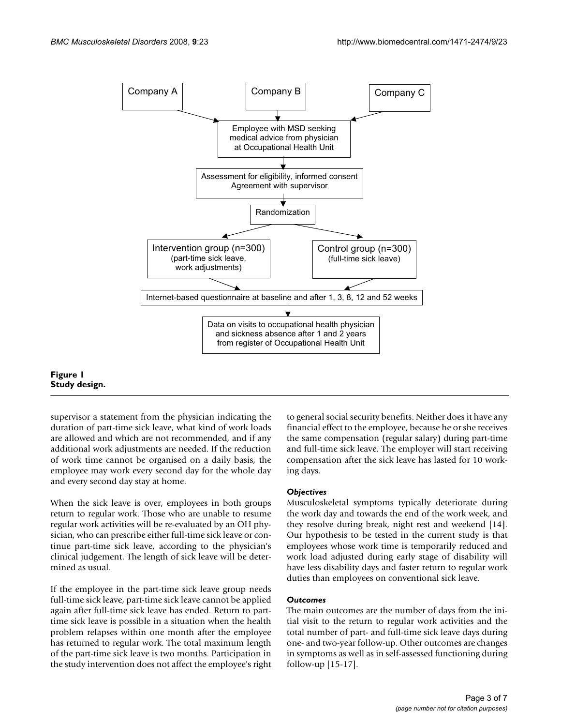

## **Figure 1 Study design.**

supervisor a statement from the physician indicating the duration of part-time sick leave, what kind of work loads are allowed and which are not recommended, and if any additional work adjustments are needed. If the reduction of work time cannot be organised on a daily basis, the employee may work every second day for the whole day and every second day stay at home.

When the sick leave is over, employees in both groups return to regular work. Those who are unable to resume regular work activities will be re-evaluated by an OH physician, who can prescribe either full-time sick leave or continue part-time sick leave, according to the physician's clinical judgement. The length of sick leave will be determined as usual.

If the employee in the part-time sick leave group needs full-time sick leave, part-time sick leave cannot be applied again after full-time sick leave has ended. Return to parttime sick leave is possible in a situation when the health problem relapses within one month after the employee has returned to regular work. The total maximum length of the part-time sick leave is two months. Participation in the study intervention does not affect the employee's right to general social security benefits. Neither does it have any financial effect to the employee, because he or she receives the same compensation (regular salary) during part-time and full-time sick leave. The employer will start receiving compensation after the sick leave has lasted for 10 working days.

# *Objectives*

Musculoskeletal symptoms typically deteriorate during the work day and towards the end of the work week, and they resolve during break, night rest and weekend [14]. Our hypothesis to be tested in the current study is that employees whose work time is temporarily reduced and work load adjusted during early stage of disability will have less disability days and faster return to regular work duties than employees on conventional sick leave.

# *Outcomes*

The main outcomes are the number of days from the initial visit to the return to regular work activities and the total number of part- and full-time sick leave days during one- and two-year follow-up. Other outcomes are changes in symptoms as well as in self-assessed functioning during follow-up [15-17].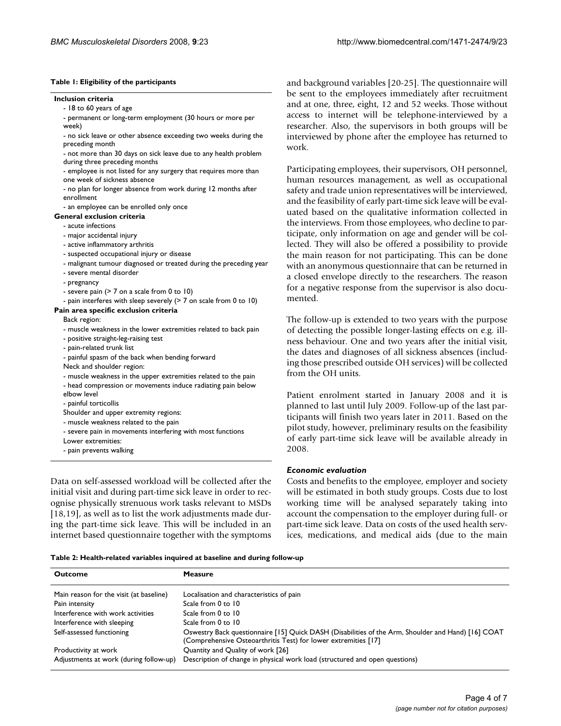#### **Table 1: Eligibility of the participants**

#### **Inclusion criteria**

- 18 to 60 years of age
- permanent or long-term employment (30 hours or more per week)
- no sick leave or other absence exceeding two weeks during the preceding month
- not more than 30 days on sick leave due to any health problem during three preceding months
- employee is not listed for any surgery that requires more than one week of sickness absence
- no plan for longer absence from work during 12 months after enrollment
- an employee can be enrolled only once

#### **General exclusion criteria**

- acute infections
- major accidental injury
- active inflammatory arthritis
- suspected occupational injury or disease
- malignant tumour diagnosed or treated during the preceding year
- severe mental disorder
- pregnancy
- severe pain (> 7 on a scale from 0 to 10)
- pain interferes with sleep severely (> 7 on scale from 0 to 10)

#### **Pain area specific exclusion criteria**

- Back region:
- muscle weakness in the lower extremities related to back pain
- positive straight-leg-raising test
- pain-related trunk list
- painful spasm of the back when bending forward
- Neck and shoulder region:
- muscle weakness in the upper extremities related to the pain
- head compression or movements induce radiating pain below
- elbow level
- painful torticollis
- Shoulder and upper extremity regions:
- muscle weakness related to the pain
- severe pain in movements interfering with most functions
- Lower extremities:
- pain prevents walking

Data on self-assessed workload will be collected after the initial visit and during part-time sick leave in order to recognise physically strenuous work tasks relevant to MSDs [18,19], as well as to list the work adjustments made during the part-time sick leave. This will be included in an internet based questionnaire together with the symptoms and background variables [20-25]. The questionnaire will be sent to the employees immediately after recruitment and at one, three, eight, 12 and 52 weeks. Those without access to internet will be telephone-interviewed by a researcher. Also, the supervisors in both groups will be interviewed by phone after the employee has returned to work.

Participating employees, their supervisors, OH personnel, human resources management, as well as occupational safety and trade union representatives will be interviewed, and the feasibility of early part-time sick leave will be evaluated based on the qualitative information collected in the interviews. From those employees, who decline to participate, only information on age and gender will be collected. They will also be offered a possibility to provide the main reason for not participating. This can be done with an anonymous questionnaire that can be returned in a closed envelope directly to the researchers. The reason for a negative response from the supervisor is also documented.

The follow-up is extended to two years with the purpose of detecting the possible longer-lasting effects on e.g. illness behaviour. One and two years after the initial visit, the dates and diagnoses of all sickness absences (including those prescribed outside OH services) will be collected from the OH units.

Patient enrolment started in January 2008 and it is planned to last until July 2009. Follow-up of the last participants will finish two years later in 2011. Based on the pilot study, however, preliminary results on the feasibility of early part-time sick leave will be available already in 2008.

#### *Economic evaluation*

Costs and benefits to the employee, employer and society will be estimated in both study groups. Costs due to lost working time will be analysed separately taking into account the compensation to the employer during full- or part-time sick leave. Data on costs of the used health services, medications, and medical aids (due to the main

**Table 2: Health-related variables inquired at baseline and during follow-up**

| Outcome                                 | <b>Measure</b>                                                                                                                                                       |
|-----------------------------------------|----------------------------------------------------------------------------------------------------------------------------------------------------------------------|
| Main reason for the visit (at baseline) | Localisation and characteristics of pain                                                                                                                             |
| Pain intensity                          | Scale from 0 to 10                                                                                                                                                   |
| Interference with work activities       | Scale from 0 to 10                                                                                                                                                   |
| Interference with sleeping              | Scale from 0 to 10                                                                                                                                                   |
| Self-assessed functioning               | Oswestry Back questionnaire [15] Quick DASH (Disabilities of the Arm, Shoulder and Hand) [16] COAT<br>(Comprehensive Osteoarthritis Test) for lower extremities [17] |
| Productivity at work                    | Quantity and Quality of work [26]                                                                                                                                    |
| Adjustments at work (during follow-up)  | Description of change in physical work load (structured and open questions)                                                                                          |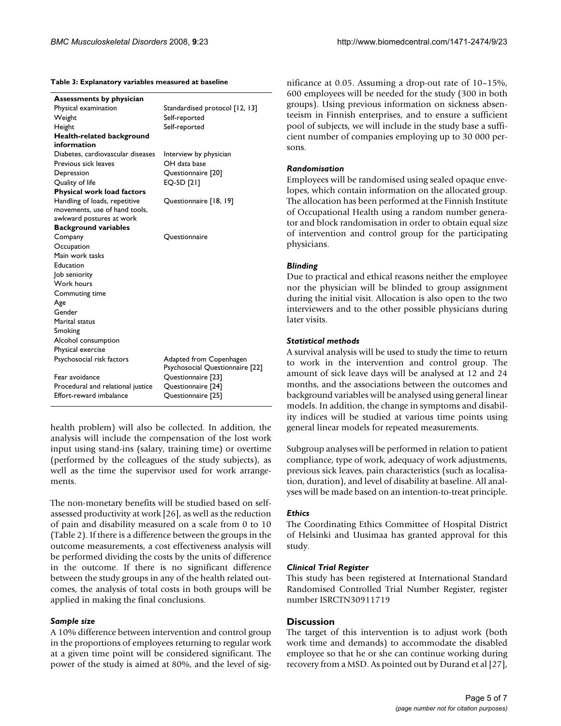#### **Table 3: Explanatory variables measured at baseline**

| Assessments by physician          |                                                            |  |  |
|-----------------------------------|------------------------------------------------------------|--|--|
| Physical examination              | Standardised protocol [12, 13]                             |  |  |
| Weight                            | Self-reported                                              |  |  |
| Height                            | Self-reported                                              |  |  |
| <b>Health-related background</b>  |                                                            |  |  |
| information                       |                                                            |  |  |
| Diabetes, cardiovascular diseases | Interview by physician                                     |  |  |
| Previous sick leaves              | OH data base                                               |  |  |
| Depression                        | Ouestionnaire [20]                                         |  |  |
| Quality of life                   | EQ-5D [21]                                                 |  |  |
| Physical work load factors        |                                                            |  |  |
| Handling of loads, repetitive     | Questionnaire [18, 19]                                     |  |  |
| movements, use of hand tools,     |                                                            |  |  |
| awkward postures at work          |                                                            |  |  |
| <b>Background variables</b>       |                                                            |  |  |
| Company                           | Questionnaire                                              |  |  |
| Occupation                        |                                                            |  |  |
| Main work tasks                   |                                                            |  |  |
| Education                         |                                                            |  |  |
| Job seniority                     |                                                            |  |  |
| Work hours                        |                                                            |  |  |
| Commuting time                    |                                                            |  |  |
| Age                               |                                                            |  |  |
| Gender                            |                                                            |  |  |
| Marital status                    |                                                            |  |  |
| Smoking                           |                                                            |  |  |
| Alcohol consumption               |                                                            |  |  |
| Physical exercise                 |                                                            |  |  |
| Psychosocial risk factors         | Adapted from Copenhagen<br>Psychosocial Questionnaire [22] |  |  |
| Fear avoidance                    | Questionnaire [23]                                         |  |  |
| Procedural and relational justice | Questionnaire [24]                                         |  |  |
| Effort-reward imbalance           | Questionnaire [25]                                         |  |  |

health problem) will also be collected. In addition, the analysis will include the compensation of the lost work input using stand-ins (salary, training time) or overtime (performed by the colleagues of the study subjects), as well as the time the supervisor used for work arrangements.

The non-monetary benefits will be studied based on selfassessed productivity at work [26], as well as the reduction of pain and disability measured on a scale from 0 to 10 (Table 2). If there is a difference between the groups in the outcome measurements, a cost effectiveness analysis will be performed dividing the costs by the units of difference in the outcome. If there is no significant difference between the study groups in any of the health related outcomes, the analysis of total costs in both groups will be applied in making the final conclusions.

#### *Sample size*

A 10% difference between intervention and control group in the proportions of employees returning to regular work at a given time point will be considered significant. The power of the study is aimed at 80%, and the level of significance at 0.05. Assuming a drop-out rate of 10–15%, 600 employees will be needed for the study (300 in both groups). Using previous information on sickness absenteeism in Finnish enterprises, and to ensure a sufficient pool of subjects, we will include in the study base a sufficient number of companies employing up to 30 000 persons.

#### *Randomisation*

Employees will be randomised using sealed opaque envelopes, which contain information on the allocated group. The allocation has been performed at the Finnish Institute of Occupational Health using a random number generator and block randomisation in order to obtain equal size of intervention and control group for the participating physicians.

#### *Blinding*

Due to practical and ethical reasons neither the employee nor the physician will be blinded to group assignment during the initial visit. Allocation is also open to the two interviewers and to the other possible physicians during later visits.

## *Statistical methods*

A survival analysis will be used to study the time to return to work in the intervention and control group. The amount of sick leave days will be analysed at 12 and 24 months, and the associations between the outcomes and background variables will be analysed using general linear models. In addition, the change in symptoms and disability indices will be studied at various time points using general linear models for repeated measurements.

Subgroup analyses will be performed in relation to patient compliance, type of work, adequacy of work adjustments, previous sick leaves, pain characteristics (such as localisation, duration), and level of disability at baseline. All analyses will be made based on an intention-to-treat principle.

#### *Ethics*

The Coordinating Ethics Committee of Hospital District of Helsinki and Uusimaa has granted approval for this study.

#### *Clinical Trial Register*

This study has been registered at International Standard Randomised Controlled Trial Number Register, register number ISRCTN30911719

#### **Discussion**

The target of this intervention is to adjust work (both work time and demands) to accommodate the disabled employee so that he or she can continue working during recovery from a MSD. As pointed out by Durand et al [27],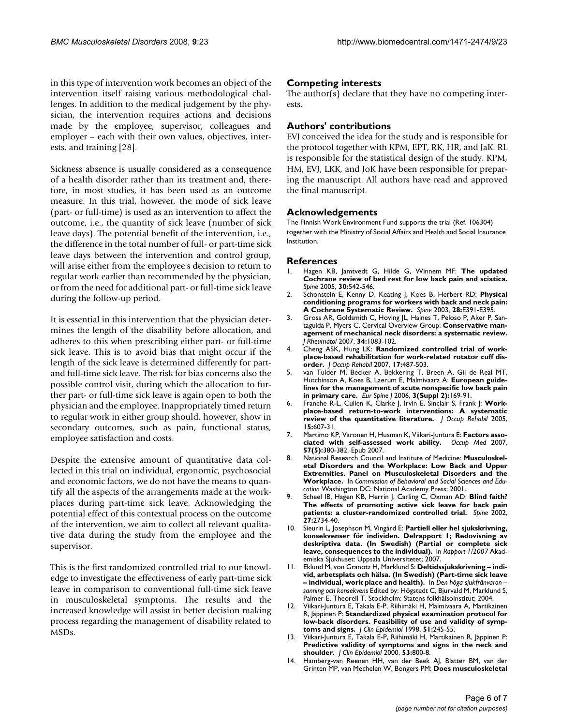in this type of intervention work becomes an object of the intervention itself raising various methodological challenges. In addition to the medical judgement by the physician, the intervention requires actions and decisions made by the employee, supervisor, colleagues and employer – each with their own values, objectives, interests, and training [28].

Sickness absence is usually considered as a consequence of a health disorder rather than its treatment and, therefore, in most studies, it has been used as an outcome measure. In this trial, however, the mode of sick leave (part- or full-time) is used as an intervention to affect the outcome, i.e., the quantity of sick leave (number of sick leave days). The potential benefit of the intervention, i.e., the difference in the total number of full- or part-time sick leave days between the intervention and control group, will arise either from the employee's decision to return to regular work earlier than recommended by the physician, or from the need for additional part- or full-time sick leave during the follow-up period.

It is essential in this intervention that the physician determines the length of the disability before allocation, and adheres to this when prescribing either part- or full-time sick leave. This is to avoid bias that might occur if the length of the sick leave is determined differently for partand full-time sick leave. The risk for bias concerns also the possible control visit, during which the allocation to further part- or full-time sick leave is again open to both the physician and the employee. Inappropriately timed return to regular work in either group should, however, show in secondary outcomes, such as pain, functional status, employee satisfaction and costs.

Despite the extensive amount of quantitative data collected in this trial on individual, ergonomic, psychosocial and economic factors, we do not have the means to quantify all the aspects of the arrangements made at the workplaces during part-time sick leave. Acknowledging the potential effect of this contextual process on the outcome of the intervention, we aim to collect all relevant qualitative data during the study from the employee and the supervisor.

This is the first randomized controlled trial to our knowledge to investigate the effectiveness of early part-time sick leave in comparison to conventional full-time sick leave in musculoskeletal symptoms. The results and the increased knowledge will assist in better decision making process regarding the management of disability related to MSDs.

## **Competing interests**

The author(s) declare that they have no competing interests.

## **Authors' contributions**

EVJ conceived the idea for the study and is responsible for the protocol together with KPM, EPT, RK, HR, and JaK. RL is responsible for the statistical design of the study. KPM, HM, EVJ, LKK, and JoK have been responsible for preparing the manuscript. All authors have read and approved the final manuscript.

#### **Acknowledgements**

The Finnish Work Environment Fund supports the trial (Ref. 106304) together with the Ministry of Social Affairs and Health and Social Insurance Institution.

#### **References**

- 1. Hagen KB, Jamtvedt G, Hilde G, Winnem MF: **[The updated](http://www.ncbi.nlm.nih.gov/entrez/query.fcgi?cmd=Retrieve&db=PubMed&dopt=Abstract&list_uids=15738787) [Cochrane review of bed rest for low back pain and sciatica.](http://www.ncbi.nlm.nih.gov/entrez/query.fcgi?cmd=Retrieve&db=PubMed&dopt=Abstract&list_uids=15738787)** *Spine* 2005, **30:**542-546.
- 2. Schonstein E, Kenny D, Keating J, Koes B, Herbert RD: **[Physical](http://www.ncbi.nlm.nih.gov/entrez/query.fcgi?cmd=Retrieve&db=PubMed&dopt=Abstract&list_uids=14520051) [conditioning programs for workers with back and neck pain:](http://www.ncbi.nlm.nih.gov/entrez/query.fcgi?cmd=Retrieve&db=PubMed&dopt=Abstract&list_uids=14520051) [A Cochrane Systematic Review.](http://www.ncbi.nlm.nih.gov/entrez/query.fcgi?cmd=Retrieve&db=PubMed&dopt=Abstract&list_uids=14520051)** *Spine* 2003, **28:**E391-E395.
- 3. Gross AR, Goldsmith C, Hoving JL, Haines T, Peloso P, Aker P, Santaguida P, Myers C, Cervical Overview Group: **[Conservative man](http://www.ncbi.nlm.nih.gov/entrez/query.fcgi?cmd=Retrieve&db=PubMed&dopt=Abstract&list_uids=17295434)[agement of mechanical neck disorders: a systematic review.](http://www.ncbi.nlm.nih.gov/entrez/query.fcgi?cmd=Retrieve&db=PubMed&dopt=Abstract&list_uids=17295434)** *J Rheumatol* 2007, **34:**1083-102.
- 4. Cheng ASK, Hung LK: **[Randomized controlled trial of work](http://www.ncbi.nlm.nih.gov/entrez/query.fcgi?cmd=Retrieve&db=PubMed&dopt=Abstract&list_uids=17520356)[place-based rehabilitation for work-related rotator cuff dis](http://www.ncbi.nlm.nih.gov/entrez/query.fcgi?cmd=Retrieve&db=PubMed&dopt=Abstract&list_uids=17520356)[order.](http://www.ncbi.nlm.nih.gov/entrez/query.fcgi?cmd=Retrieve&db=PubMed&dopt=Abstract&list_uids=17520356)** *J Occup Rehabil* 2007, **17:**487-503.
- 5. van Tulder M, Becker A, Bekkering T, Breen A, Gil de Real MT, Hutchinson A, Koes B, Laerum E, Malmivaara A: **[European guide](http://www.ncbi.nlm.nih.gov/entrez/query.fcgi?cmd=Retrieve&db=PubMed&dopt=Abstract&list_uids=16550447)[lines for the management of acute nonspecific low back pain](http://www.ncbi.nlm.nih.gov/entrez/query.fcgi?cmd=Retrieve&db=PubMed&dopt=Abstract&list_uids=16550447) [in primary care.](http://www.ncbi.nlm.nih.gov/entrez/query.fcgi?cmd=Retrieve&db=PubMed&dopt=Abstract&list_uids=16550447)** *Eur Spine J* 2006, **3(Suppl 2):**169-91.
- 6. Franche R-L, Cullen K, Clarke J, Irvin E, Sinclair S, Frank J: **[Work](http://www.ncbi.nlm.nih.gov/entrez/query.fcgi?cmd=Retrieve&db=PubMed&dopt=Abstract&list_uids=16254759)[place-based return-to-work interventions: A systematic](http://www.ncbi.nlm.nih.gov/entrez/query.fcgi?cmd=Retrieve&db=PubMed&dopt=Abstract&list_uids=16254759) [review of the quantitative literature.](http://www.ncbi.nlm.nih.gov/entrez/query.fcgi?cmd=Retrieve&db=PubMed&dopt=Abstract&list_uids=16254759)** *J Occup Rehabil* 2005, **15:**607-31.
- 7. Martimo KP, Varonen H, Husman K, Viikari-Juntura E: **[Factors asso](http://www.ncbi.nlm.nih.gov/entrez/query.fcgi?cmd=Retrieve&db=PubMed&dopt=Abstract&list_uids=17548869 )[ciated with self-assessed work ability.](http://www.ncbi.nlm.nih.gov/entrez/query.fcgi?cmd=Retrieve&db=PubMed&dopt=Abstract&list_uids=17548869 )** *Occup Med* 2007, **57(5):**380-382. Epub 2007.
- 8. National Research Council and Institute of Medicine: **Musculoskeletal Disorders and the Workplace: Low Back and Upper Extremities. Panel on Musculoskeletal Disorders and the Workplace.** In *Commission of Behavioral and Social Sciences and Education* Washington DC: National Academy Press; 2001.
- 9. Scheel IB, Hagen KB, Herrin J, Carling C, Oxman AD: **[Blind faith?](http://www.ncbi.nlm.nih.gov/entrez/query.fcgi?cmd=Retrieve&db=PubMed&dopt=Abstract&list_uids=12461401) [The effects of promoting active sick leave for back pain](http://www.ncbi.nlm.nih.gov/entrez/query.fcgi?cmd=Retrieve&db=PubMed&dopt=Abstract&list_uids=12461401) [patients: a cluster-randomized controlled trial.](http://www.ncbi.nlm.nih.gov/entrez/query.fcgi?cmd=Retrieve&db=PubMed&dopt=Abstract&list_uids=12461401)** *Spine* 2002, **27:**2734-40.
- 10. Sieurin L, Josephson M, Vingård E: **Partiell eller hel sjukskrivning, konsekvenser för individen. Delrapport 1; Redovisning av deskriptiva data. (In Swedish) (Partial or complete sick leave, consequences to the individual).** In *Rapport 1/2007* Akademiska Sjukhuset: Uppsala Universitetet; 2007.
- 11. Eklund M, von Granotz H, Marklund S: **Deltidssjukskrivning individ, arbetsplats och hälsa. (In Swedish) (Part-time sick leave – individual, work place and health).** In *Den höga sjukfrånvaron – sanning och konsekvens* Edited by: Högstedt C, Bjurvald M, Marklund S, Palmer E, Theorell T. Stockholm: Statens folkhälsoinstitut; 2004.
- 12. Viikari-Juntura E, Takala E-P, Riihimäki H, Malmivaara A, Martikainen R, Jäppinen P: **[Standardized physical examination protocol for](http://www.ncbi.nlm.nih.gov/entrez/query.fcgi?cmd=Retrieve&db=PubMed&dopt=Abstract&list_uids=9495690) [low-back disorders. Feasibility of use and validity of symp](http://www.ncbi.nlm.nih.gov/entrez/query.fcgi?cmd=Retrieve&db=PubMed&dopt=Abstract&list_uids=9495690)[toms and signs.](http://www.ncbi.nlm.nih.gov/entrez/query.fcgi?cmd=Retrieve&db=PubMed&dopt=Abstract&list_uids=9495690)** *J Clin Epidemiol* 1998, **51:**245-55.
- 13. Viikari-Juntura E, Takala E-P, Riihimäki H, Martikainen R, Jäppinen P: **[Predictive validity of symptoms and signs in the neck and](http://www.ncbi.nlm.nih.gov/entrez/query.fcgi?cmd=Retrieve&db=PubMed&dopt=Abstract&list_uids=10942862) [shoulder.](http://www.ncbi.nlm.nih.gov/entrez/query.fcgi?cmd=Retrieve&db=PubMed&dopt=Abstract&list_uids=10942862)** *J Clin Epidemiol* 2000, **53:**800-8.
- 14. Hamberg-van Reenen HH, van der Beek AJ, Blatter BM, van der Grinten MP, van Mechelen W, Bongers PM: **Does musculoskeletal**